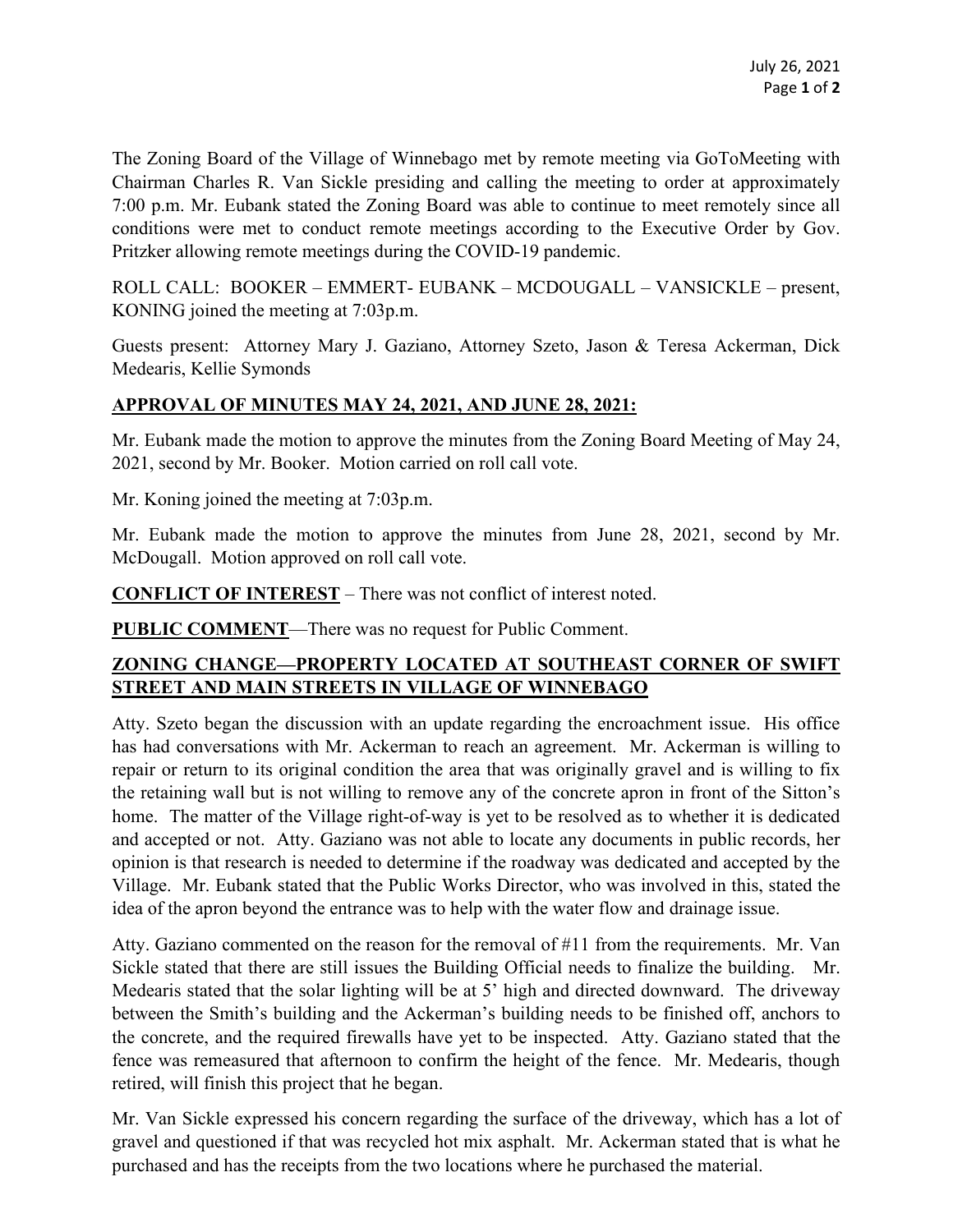The Zoning Board of the Village of Winnebago met by remote meeting via GoToMeeting with Chairman Charles R. Van Sickle presiding and calling the meeting to order at approximately 7:00 p.m. Mr. Eubank stated the Zoning Board was able to continue to meet remotely since all conditions were met to conduct remote meetings according to the Executive Order by Gov. Pritzker allowing remote meetings during the COVID-19 pandemic.

ROLL CALL: BOOKER – EMMERT- EUBANK – MCDOUGALL – VANSICKLE – present, KONING joined the meeting at 7:03p.m.

Guests present: Attorney Mary J. Gaziano, Attorney Szeto, Jason & Teresa Ackerman, Dick Medearis, Kellie Symonds

## **APPROVAL OF MINUTES MAY 24, 2021, AND JUNE 28, 2021:**

Mr. Eubank made the motion to approve the minutes from the Zoning Board Meeting of May 24, 2021, second by Mr. Booker. Motion carried on roll call vote.

Mr. Koning joined the meeting at 7:03p.m.

Mr. Eubank made the motion to approve the minutes from June 28, 2021, second by Mr. McDougall. Motion approved on roll call vote.

**CONFLICT OF INTEREST** – There was not conflict of interest noted.

**PUBLIC COMMENT**—There was no request for Public Comment.

## **ZONING CHANGE—PROPERTY LOCATED AT SOUTHEAST CORNER OF SWIFT STREET AND MAIN STREETS IN VILLAGE OF WINNEBAGO**

Atty. Szeto began the discussion with an update regarding the encroachment issue. His office has had conversations with Mr. Ackerman to reach an agreement. Mr. Ackerman is willing to repair or return to its original condition the area that was originally gravel and is willing to fix the retaining wall but is not willing to remove any of the concrete apron in front of the Sitton's home. The matter of the Village right-of-way is yet to be resolved as to whether it is dedicated and accepted or not. Atty. Gaziano was not able to locate any documents in public records, her opinion is that research is needed to determine if the roadway was dedicated and accepted by the Village. Mr. Eubank stated that the Public Works Director, who was involved in this, stated the idea of the apron beyond the entrance was to help with the water flow and drainage issue.

Atty. Gaziano commented on the reason for the removal of  $#11$  from the requirements. Mr. Van Sickle stated that there are still issues the Building Official needs to finalize the building. Mr. Medearis stated that the solar lighting will be at 5' high and directed downward. The driveway between the Smith's building and the Ackerman's building needs to be finished off, anchors to the concrete, and the required firewalls have yet to be inspected. Atty. Gaziano stated that the fence was remeasured that afternoon to confirm the height of the fence. Mr. Medearis, though retired, will finish this project that he began.

Mr. Van Sickle expressed his concern regarding the surface of the driveway, which has a lot of gravel and questioned if that was recycled hot mix asphalt. Mr. Ackerman stated that is what he purchased and has the receipts from the two locations where he purchased the material.